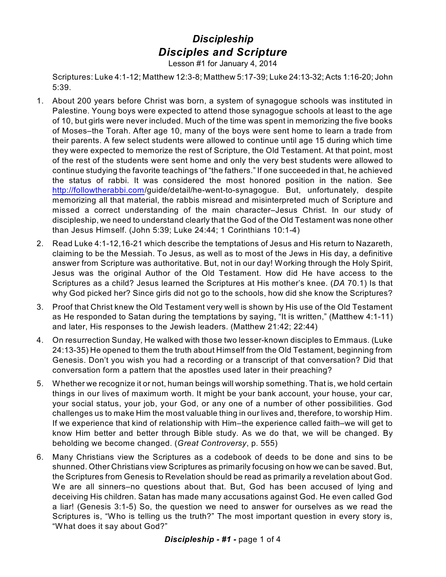## *Discipleship Disciples and Scripture*

Lesson #1 for January 4, 2014

Scriptures: Luke 4:1-12; Matthew 12:3-8; Matthew 5:17-39; Luke 24:13-32; Acts 1:16-20; John 5:39.

- 1. About 200 years before Christ was born, a system of synagogue schools was instituted in Palestine. Young boys were expected to attend those synagogue schools at least to the age of 10, but girls were never included. Much of the time was spent in memorizing the five books of Moses–the Torah. After age 10, many of the boys were sent home to learn a trade from their parents. A few select students were allowed to continue until age 15 during which time they were expected to memorize the rest of Scripture, the Old Testament. At that point, most of the rest of the students were sent home and only the very best students were allowed to continue studying the favorite teachings of "the fathers." If one succeeded in that, he achieved the status of rabbi. It was considered the most honored position in the nation. See <http://followtherabbi.com>/guide/detail/he-went-to-synagogue. But, unfortunately, despite memorizing all that material, the rabbis misread and misinterpreted much of Scripture and missed a correct understanding of the main character–Jesus Christ. In our study of discipleship, we need to understand clearly that the God of the Old Testament was none other than Jesus Himself. (John 5:39; Luke 24:44; 1 Corinthians 10:1-4)
- 2. Read Luke 4:1-12,16-21 which describe the temptations of Jesus and His return to Nazareth, claiming to be the Messiah. To Jesus, as well as to most of the Jews in His day, a definitive answer from Scripture was authoritative. But, not in our day! Working through the Holy Spirit, Jesus was the original Author of the Old Testament. How did He have access to the Scriptures as a child? Jesus learned the Scriptures at His mother's knee. (*DA* 70.1) Is that why God picked her? Since girls did not go to the schools, how did she know the Scriptures?
- 3. Proof that Christ knew the Old Testament very well is shown by His use of the Old Testament as He responded to Satan during the temptations by saying, "It is written," (Matthew 4:1-11) and later, His responses to the Jewish leaders. (Matthew 21:42; 22:44)
- 4. On resurrection Sunday, He walked with those two lesser-known disciples to Emmaus. (Luke 24:13-35) He opened to them the truth about Himself from the Old Testament, beginning from Genesis. Don't you wish you had a recording or a transcript of that conversation? Did that conversation form a pattern that the apostles used later in their preaching?
- 5. Whether we recognize it or not, human beings will worship something. That is, we hold certain things in our lives of maximum worth. It might be your bank account, your house, your car, your social status, your job, your God, or any one of a number of other possibilities. God challenges us to make Him the most valuable thing in our lives and, therefore, to worship Him. If we experience that kind of relationship with Him–the experience called faith–we will get to know Him better and better through Bible study. As we do that, we will be changed. By beholding we become changed. (*Great Controversy*, p. 555)
- 6. Many Christians view the Scriptures as a codebook of deeds to be done and sins to be shunned. Other Christians view Scriptures as primarily focusing on how we can be saved. But, the Scriptures from Genesis to Revelation should be read as primarily a revelation about God. We are all sinners–no questions about that. But, God has been accused of lying and deceiving His children. Satan has made many accusations against God. He even called God a liar! (Genesis 3:1-5) So, the question we need to answer for ourselves as we read the Scriptures is, "Who is telling us the truth?" The most important question in every story is, "What does it say about God?"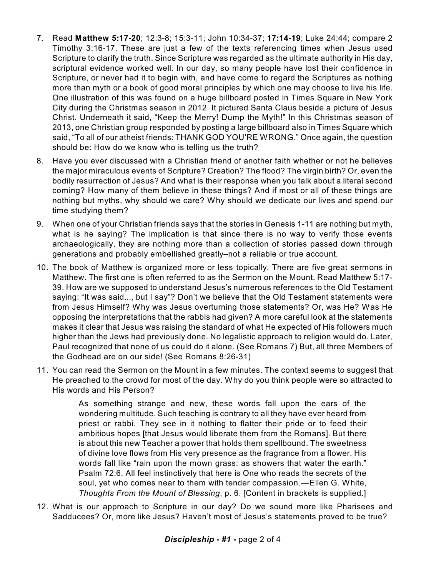- 7. Read **Matthew 5:17-20**; 12:3-8; 15:3-11; John 10:34-37; **17:14-19**; Luke 24:44; compare 2 Timothy 3:16-17. These are just a few of the texts referencing times when Jesus used Scripture to clarify the truth. Since Scripture was regarded as the ultimate authority in His day, scriptural evidence worked well. In our day, so many people have lost their confidence in Scripture, or never had it to begin with, and have come to regard the Scriptures as nothing more than myth or a book of good moral principles by which one may choose to live his life. One illustration of this was found on a huge billboard posted in Times Square in New York City during the Christmas season in 2012. It pictured Santa Claus beside a picture of Jesus Christ. Underneath it said, "Keep the Merry! Dump the Myth!" In this Christmas season of 2013, one Christian group responded by posting a large billboard also in Times Square which said, "To all of our atheist friends: THANK GOD YOU'RE WRONG." Once again, the question should be: How do we know who is telling us the truth?
- 8. Have you ever discussed with a Christian friend of another faith whether or not he believes the major miraculous events of Scripture? Creation? The flood? The virgin birth? Or, even the bodily resurrection of Jesus? And what is their response when you talk about a literal second coming? How many of them believe in these things? And if most or all of these things are nothing but myths, why should we care? Why should we dedicate our lives and spend our time studying them?
- 9. When one of your Christian friends says that the stories in Genesis 1-11 are nothing but myth, what is he saying? The implication is that since there is no way to verify those events archaeologically, they are nothing more than a collection of stories passed down through generations and probably embellished greatly–not a reliable or true account.
- 10. The book of Matthew is organized more or less topically. There are five great sermons in Matthew. The first one is often referred to as the Sermon on the Mount. Read Matthew 5:17- 39. How are we supposed to understand Jesus's numerous references to the Old Testament saying: "It was said..., but I say"? Don't we believe that the Old Testament statements were from Jesus Himself? Why was Jesus overturning those statements? Or, was He? Was He opposing the interpretations that the rabbis had given? A more careful look at the statements makes it clear that Jesus was raising the standard of what He expected of His followers much higher than the Jews had previously done. No legalistic approach to religion would do. Later, Paul recognized that none of us could do it alone. (See Romans 7) But, all three Members of the Godhead are on our side! (See Romans 8:26-31)
- 11. You can read the Sermon on the Mount in a few minutes. The context seems to suggest that He preached to the crowd for most of the day. Why do you think people were so attracted to His words and His Person?

As something strange and new, these words fall upon the ears of the wondering multitude. Such teaching is contrary to all they have ever heard from priest or rabbi. They see in it nothing to flatter their pride or to feed their ambitious hopes [that Jesus would liberate them from the Romans]. But there is about this new Teacher a power that holds them spellbound. The sweetness of divine love flows from His very presence as the fragrance from a flower. His words fall like "rain upon the mown grass: as showers that water the earth." Psalm 72:6. All feel instinctively that here is One who reads the secrets of the soul, yet who comes near to them with tender compassion.—Ellen G. White, *Thoughts From the Mount of Blessing*, p. 6. [Content in brackets is supplied.]

12. What is our approach to Scripture in our day? Do we sound more like Pharisees and Sadducees? Or, more like Jesus? Haven't most of Jesus's statements proved to be true?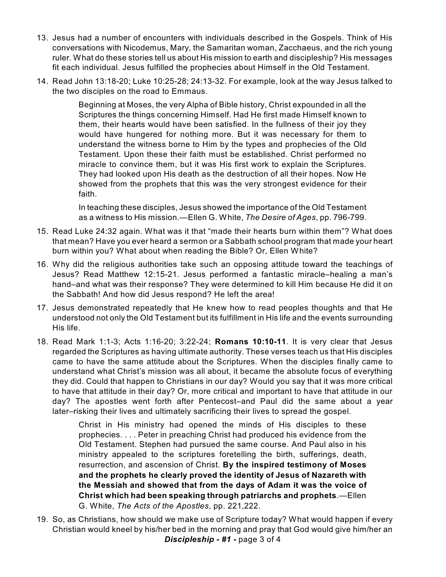- 13. Jesus had a number of encounters with individuals described in the Gospels. Think of His conversations with Nicodemus, Mary, the Samaritan woman, Zacchaeus, and the rich young ruler. What do these stories tell us about His mission to earth and discipleship? His messages fit each individual. Jesus fulfilled the prophecies about Himself in the Old Testament.
- 14. Read John 13:18-20; Luke 10:25-28; 24:13-32. For example, look at the way Jesus talked to the two disciples on the road to Emmaus.

Beginning at Moses, the very Alpha of Bible history, Christ expounded in all the Scriptures the things concerning Himself. Had He first made Himself known to them, their hearts would have been satisfied. In the fullness of their joy they would have hungered for nothing more. But it was necessary for them to understand the witness borne to Him by the types and prophecies of the Old Testament. Upon these their faith must be established. Christ performed no miracle to convince them, but it was His first work to explain the Scriptures. They had looked upon His death as the destruction of all their hopes. Now He showed from the prophets that this was the very strongest evidence for their faith.

In teaching these disciples, Jesus showed the importance of the Old Testament as a witness to His mission.—Ellen G. White, *The Desire of Ages*, pp. 796-799.

- 15. Read Luke 24:32 again. What was it that "made their hearts burn within them"? What does that mean? Have you ever heard a sermon or a Sabbath school program that made your heart burn within you? What about when reading the Bible? Or, Ellen White?
- 16. Why did the religious authorities take such an opposing attitude toward the teachings of Jesus? Read Matthew 12:15-21. Jesus performed a fantastic miracle–healing a man's hand–and what was their response? They were determined to kill Him because He did it on the Sabbath! And how did Jesus respond? He left the area!
- 17. Jesus demonstrated repeatedly that He knew how to read peoples thoughts and that He understood not only the Old Testament but its fulfillment in His life and the events surrounding His life.
- 18. Read Mark 1:1-3; Acts 1:16-20; 3:22-24; **Romans 10:10-11**. It is very clear that Jesus regarded the Scriptures as having ultimate authority. These verses teach us that His disciples came to have the same attitude about the Scriptures. When the disciples finally came to understand what Christ's mission was all about, it became the absolute focus of everything they did. Could that happen to Christians in our day? Would you say that it was more critical to have that attitude in their day? Or, more critical and important to have that attitude in our day? The apostles went forth after Pentecost–and Paul did the same about a year later–risking their lives and ultimately sacrificing their lives to spread the gospel.

Christ in His ministry had opened the minds of His disciples to these prophecies. . . . Peter in preaching Christ had produced his evidence from the Old Testament. Stephen had pursued the same course. And Paul also in his ministry appealed to the scriptures foretelling the birth, sufferings, death, resurrection, and ascension of Christ. **By the inspired testimony of Moses and the prophets he clearly proved the identity of Jesus of Nazareth with the Messiah and showed that from the days of Adam it was the voice of Christ which had been speaking through patriarchs and prophets**.—Ellen G. White, *The Acts of the Apostles*, pp. 221,222.

19. So, as Christians, how should we make use of Scripture today? What would happen if every Christian would kneel by his/her bed in the morning and pray that God would give him/her an *Discipleship - #1 -* page 3 of 4